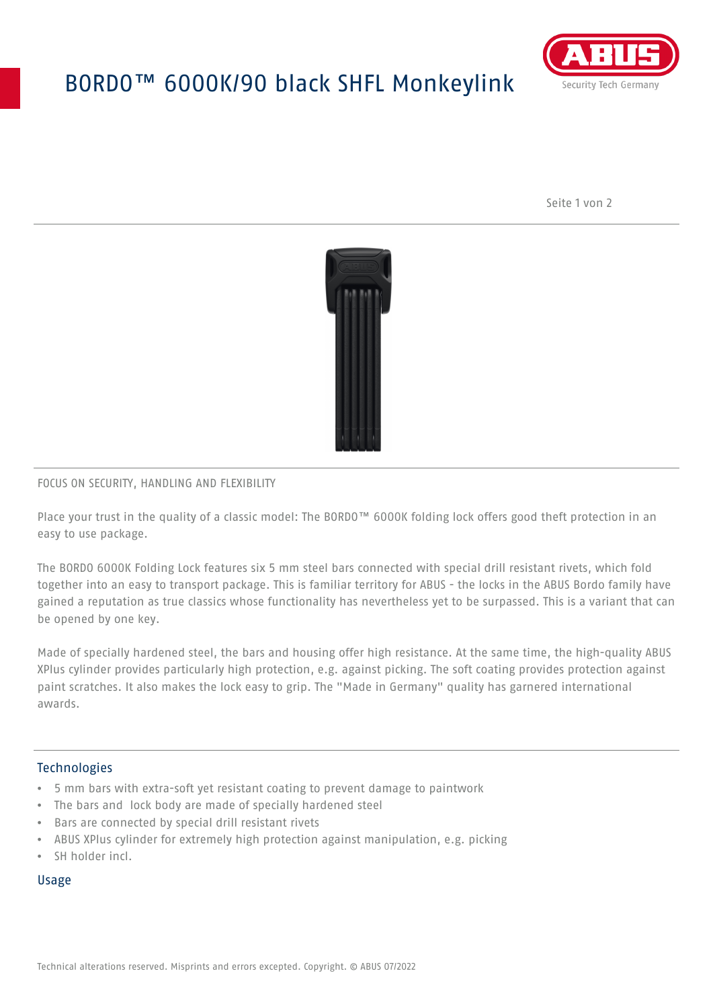## BORDO™ 6000K/90 black SHFL Monkeylink



Seite 1 von 2



## FOCUS ON SECURITY, HANDLING AND FLEXIBILITY

Place your trust in the quality of a classic model: The BORDO™ 6000K folding lock offers good theft protection in an easy to use package.

The BORDO 6000K Folding Lock features six 5 mm steel bars connected with special drill resistant rivets, which fold together into an easy to transport package. This is familiar territory for ABUS - the locks in the ABUS Bordo family have gained a reputation as true classics whose functionality has nevertheless yet to be surpassed. This is a variant that can be opened by one key.

Made of specially hardened steel, the bars and housing offer high resistance. At the same time, the high-quality ABUS XPlus cylinder provides particularly high protection, e.g. against picking. The soft coating provides protection against paint scratches. It also makes the lock easy to grip. The "Made in Germany" quality has garnered international awards.

### **Technologies**

- 5 mm bars with extra-soft yet resistant coating to prevent damage to paintwork
- The bars and lock body are made of specially hardened steel
- Bars are connected by special drill resistant rivets
- ABUS XPlus cylinder for extremely high protection against manipulation, e.g. picking
- SH holder incl.

#### Usage